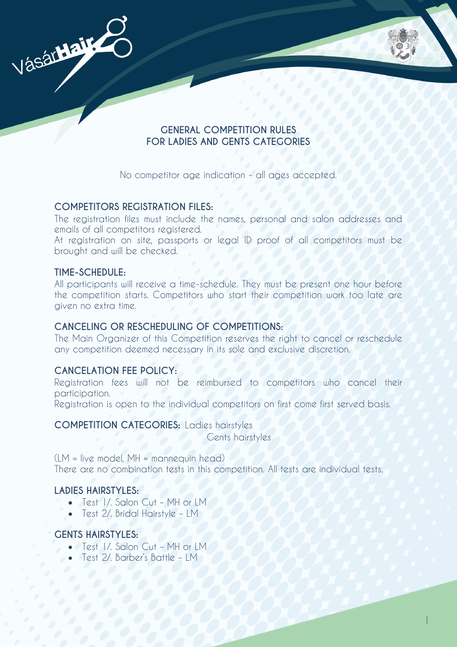

## **GENERAL COMPETITION RULES FOR LADIES AND GENTS CATEGORIES**

No competitor age indication - all ages accepted.

## **COMPETITORS REGISTRATION FILES:**

The registration files must include the names, personal and salon addresses and emails of all competitors registered.

At registration on site, passports or legal ID proof of all competitors must be brought and will be checked.

## **TIME-SCHEDULE:**

All participants will receive a time-schedule. They must be present one hour before the competition starts. Competitors who start their competition work too late are given no extra time.

## **CANCELING OR RESCHEDULING OF COMPETITIONS:**

The Main Organizer of this Competition reserves the right to cancel or reschedule any competition deemed necessary in its sole and exclusive discretion.

# **CANCELATION FEE POLICY:**

Registration fees will not be reimbursed to competitors who cancel their participation.

Registration is open to the individual competitors on first come first served basis.

**COMPETITION CATEGORIES:** Ladies hairstyles Gents hairstyles

(LM = live model, MH = mannequin head) There are no combination tests in this competition. All tests are individual tests.

# **LADIES HAIRSTYLES:**

- $\bullet$  Test I/. Salon Cut MH or LM.
- Test 2/. Bridal Hairstyle LM

# **GENTS HAIRSTYLES:**

- Test 1/. Salon Cut MH or LM
- Test 2/. Barber's Battle LM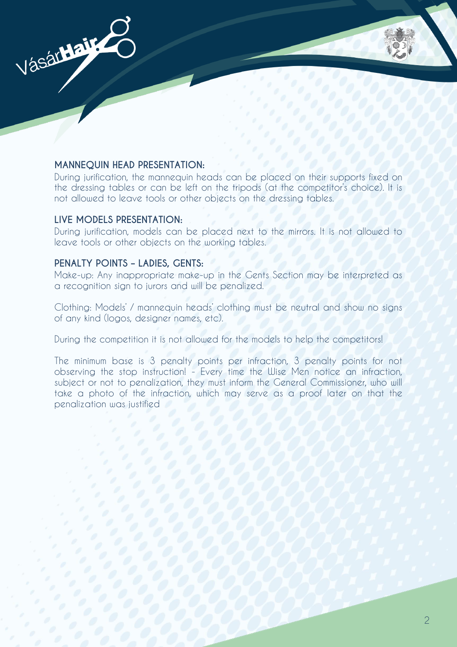

#### **MANNEQUIN HEAD PRESENTATION:**

During jurification, the mannequin heads can be placed on their supports fixed on the dressing tables or can be left on the tripods (at the competitor's choice). It is not allowed to leave tools or other objects on the dressing tables.

#### **LIVE MODELS PRESENTATION:**

During jurification, models can be placed next to the mirrors. It is not allowed to leave tools or other objects on the working tables.

#### **PENALTY POINTS – LADIES, GENTS:**

Make-up: Any inappropriate make-up in the Gents Section may be interpreted as a recognition sign to jurors and will be penalized.

Clothing: Models' / mannequin heads' clothing must be neutral and show no signs of any kind (logos, designer names, etc).

During the competition it is not allowed for the models to help the competitors!

The minimum base is 3 penalty points per infraction, 3 penalty points for not observing the stop instruction! - Every time the Wise Men notice an infraction, subject or not to penalization, they must inform the General Commissioner, who will take a photo of the infraction, which may serve as a proof later on that the penalization was justified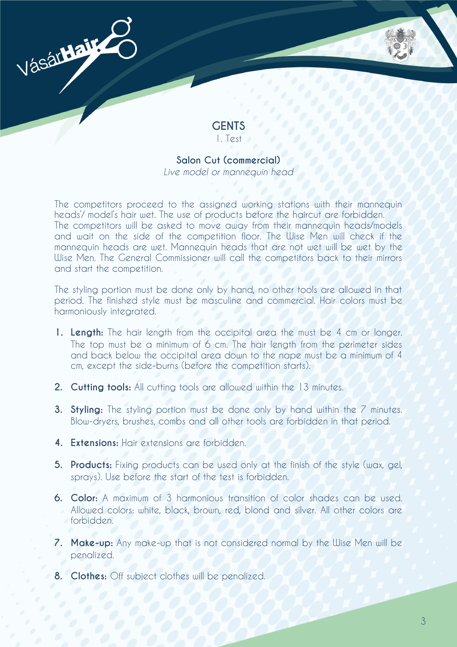

# **GENTS** 1. Test

# **Salon Cut (commercial)**

*Live model or mannequin head*

The competitors proceed to the assigned working stations with their mannequin heads'/ model's hair wet. The use of products before the haircut are forbidden. The competitors will be asked to move away from their mannequin heads/models and wait on the side of the competition floor. The Wise Men will check if the mannequin heads are wet. Mannequin heads that are not wet will be wet by the Wise Men. The General Commissioner will call the competitors back to their mirrors and start the competition.

The styling portion must be done only by hand, no other tools are allowed in that period. The finished style must be masculine and commercial. Hair colors must be harmoniously integrated.

- **1. Length:** The hair length from the occipital area the must be 4 cm or longer. The top must be a minimum of 6 cm. The hair length from the perimeter sides and back below the occipital area down to the nape must be a minimum of 4 cm, except the side-burns (before the competition starts).
- **2. Cutting tools:** All cutting tools are allowed within the 13 minutes.
- **3. Styling:** The styling portion must be done only by hand within the 7 minutes. Blow-dryers, brushes, combs and all other tools are forbidden in that period.
- **4. Extensions:** Hair extensions are forbidden.
- **5. Products:** Fixing products can be used only at the finish of the style (wax, gel, sprays). Use before the start of the test is forbidden.
- **6. Color:** A maximum of 3 harmonious transition of color shades can be used. Allowed colors: white, black, brown, red, blond and silver. All other colors are forbidden.
- **7. Make-up:** Any make-up that is not considered normal by the Wise Men will be penalized.
- **8. Clothes:** Off subject clothes will be penalized.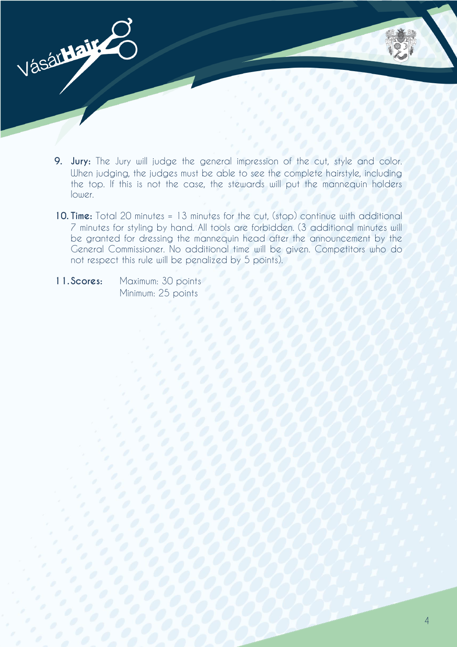- **9. Jury:** The Jury will judge the general impression of the cut, style and color. When judging, the judges must be able to see the complete hairstyle, including the top. If this is not the case, the stewards will put the mannequin holders lower.
- **10. Time:** Total 20 minutes = 13 minutes for the cut, (stop) continue with additional 7 minutes for styling by hand. All tools are forbidden. (3 additional minutes will be granted for dressing the mannequin head after the announcement by the General Commissioner. No additional time will be given. Competitors who do not respect this rule will be penalized by 5 points).
- **11. Scores:** Maximum: 30 points Minimum: 25 points

Vásár**Hair**